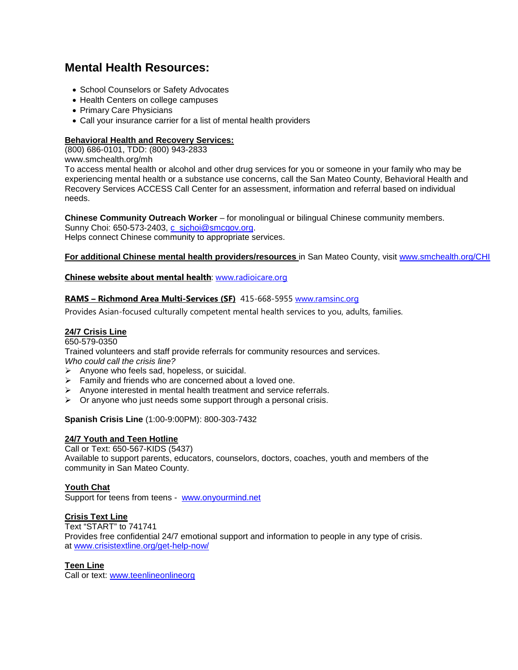# **Mental Health Resources:**

- School Counselors or Safety Advocates
- Health Centers on college campuses
- Primary Care Physicians
- Call your insurance carrier for a list of mental health providers

# **Behavioral Health and Recovery Services:**

(800) 686-0101, TDD: (800) 943-2833

www.smchealth.org/mh

To access mental health or alcohol and other drug services for you or someone in your family who may be experiencing mental health or a substance use concerns, call the San Mateo County, Behavioral Health and Recovery Services ACCESS Call Center for an assessment, information and referral based on individual needs.

**Chinese Community Outreach Worker** – for monolingual or bilingual Chinese community members.

Sunny Choi: 650-573-2403, [c\\_sjchoi@smcgov.org.](mailto:c_sjchoi@smcgov.org) Helps connect Chinese community to appropriate services.

**For additional Chinese mental health providers/resources** in San Mateo County, visit [www.smchealth.org/CHI](http://www.smchealth.org/CHI)

## **Chinese website about mental health**: [www.radioicare.org](http://www.radioicare.org/)

# **RAMS – Richmond Area Multi-Services (SF)** 415-668-5955 [www.ramsinc.org](http://www.ramsinc.org/)

Provides Asian-focused culturally competent mental health services to you, adults, families.

# **24/7 Crisis Line**

#### 650-579-0350

Trained volunteers and staff provide referrals for community resources and services. *Who could call the crisis line?* 

- $\triangleright$  Anyone who feels sad, hopeless, or suicidal.
- $\triangleright$  Family and friends who are concerned about a loved one.
- $\triangleright$  Anyone interested in mental health treatment and service referrals.
- $\triangleright$  Or anyone who just needs some support through a personal crisis.

#### **Spanish Crisis Line** (1:00-9:00PM): 800-303-7432

#### **24/7 Youth and Teen Hotline**

Call or Text: 650-567-KIDS (5437) Available to support parents, educators, counselors, doctors, coaches, youth and members of the community in San Mateo County.

#### **Youth Chat**

Support for teens from teens - [www.onyourmind.net](http://www.onyourmind.net/)

# **Crisis Text Line**

Text "START" to 741741 Provides free confidential 24/7 emotional support and information to people in any type of crisis. at [www.crisistextline.org/get-help-now/](http://www.crisistextline.org/get-help-now/)

# **Teen Line**

Call or text: [www.teenlineonlineorg](http://www.teenlineonlineorg/)